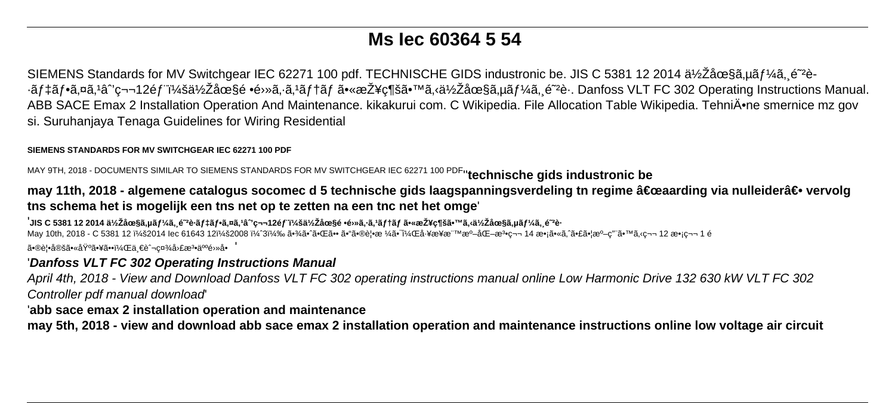# **Ms Iec 60364 5 54**

SIEMENS Standards for MV Switchgear IEC 62271 100 pdf. TECHNISCHE GIDS industronic be. JIS C 5381 12 2014  $a\frac{1}{2}$ Za $\frac{\alpha}{3}$ a,  $\frac{1}{4}$  $\frac{1}{4}$  $\frac{1}{6}$ ,  $\frac{1}{2}$  $\frac{1}{6}$ ,  $\frac{1}{2}$ ∙ãf‡ãf•ã,¤ã,<sup>1</sup>â<sup>•</sup>′第12éf :低圧é •é›»ã,⋅ã,<sup>1</sup>ãf†ãf 㕫接ç¶šã•™ã,‹ä½Žåœ§ã,µãf¼ã, é<sup>∼</sup>è⋅. Danfoss VLT FC 302 Operating Instructions Manual. ABB SACE Emax 2 Installation Operation And Maintenance. kikakurui com. C Wikipedia. File Allocation Table Wikipedia. Tehniĕne smernice mz gov si. Suruhanjaya Tenaga Guidelines for Wiring Residential

#### **SIEMENS STANDARDS FOR MV SWITCHGEAR IEC 62271 100 PDF**

MAY 9TH, 2018 - DOCUMENTS SIMILAR TO SIEMENS STANDARDS FOR MV SWITCHGEAR IEC 62271 100 PDF''**technische gids industronic be**

## may 11th, 2018 - algemene catalogus socomec d 5 technische gids laagspanningsverdeling tn regime "aarding via nulleider― vervolg **tns schema het is mogelijk een tns net op te zetten na een tnc net het omge**'

,<br>'JIS C 5381 12 2014 低圧ã,µãƒ¼ã,¸é<sup>~</sup>è⋅デフã,¤ã,ªâˆ'第12部:低圧é •é›»ã,⋅ã,ªãƒ†ãƒ 㕫接ç¶šã•™ã,‹ä½Žåœ§ã,µãƒ¼ã,¸é<sup>~</sup>è⋅ May 10th, 2018 - C 5381 12 :2014 Iec 61643 12:2008 ï¼^3) 㕾㕈㕌ã•• ã•"㕮覕æ ¼ã•¯ï¼Œå-¥æ¥æ™™æº–化檕第 14 æ•¡ã•«ã, ̃㕣㕦準ç"¨ã•™ã,‹ç¬¬ 12 敡第 1 é 㕮覕定㕫埰㕥㕕,ä €è^¬c¤¾å›£æ3•人é›»å•

### '**Danfoss VLT FC 302 Operating Instructions Manual**

April 4th, 2018 - View and Download Danfoss VLT FC 302 operating instructions manual online Low Harmonic Drive 132 630 kW VLT FC 302 Controller pdf manual download'

### '**abb sace emax 2 installation operation and maintenance**

**may 5th, 2018 - view and download abb sace emax 2 installation operation and maintenance instructions online low voltage air circuit**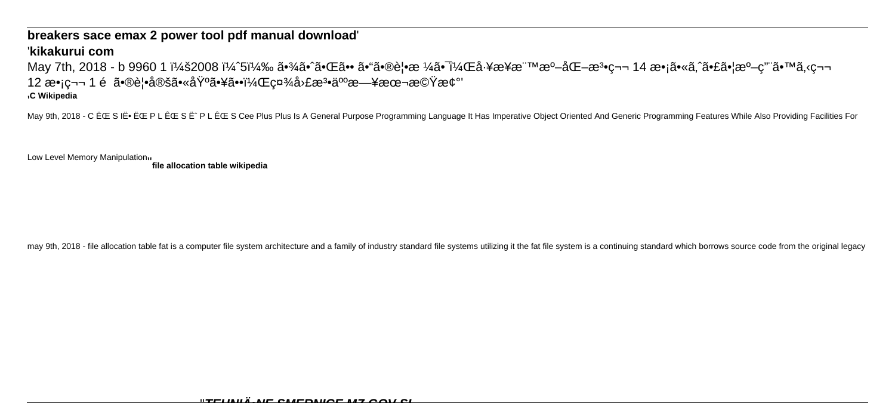#### breakers sace emax 2 power tool pdf manual download

### 'kikakurui com

May 7th, 2018 - b 9960 1 :2008 ï¼^5) 㕾ã•^㕌ã•• ã•"㕮覕æ ¼ã•¯ï¼Œå⋅¥æ¥æ¨™æº–化æЗ•第 14 æ•¡ã•«ã,^㕣㕦準ç"¨ã•™ã,<第 12 æ•jc¬¬ 1 é 㕮覕定㕫埰㕥㕕,社団æ3•人日本機械' <sub>I</sub>C Wikipedia

May 9th, 2018 - C ËCE S IË. ËCE P L ÊCE S Ë^ P L ÊCE S Cee Plus Plus Is A General Purpose Programming Language It Has Imperative Object Oriented And Generic Programming Features While Also Providing Facilities For

Low Level Memory Manipulation11

file allocation table wikipedia

may 9th, 2018 - file allocation table fat is a computer file system architecture and a family of industry standard file systems utilizing it the fat file system is a continuing standard which borrows source code from the o